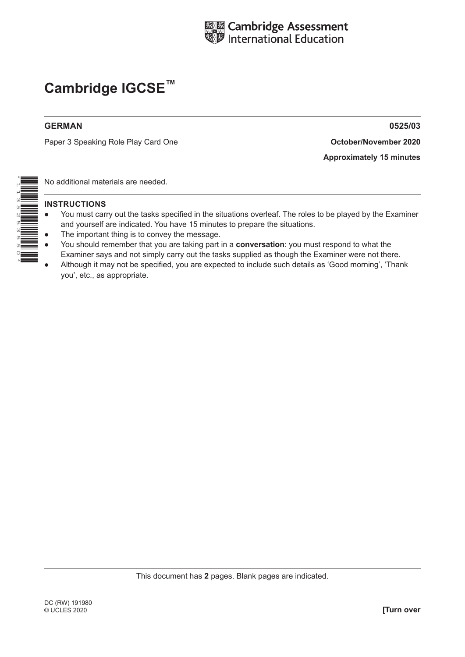

#### **GERMAN 0525/03**

Paper 3 Speaking Role Play Card One **Card Contract Contract Contract Contract Contract Contract Contract Contract Co** 

**Approximately 15 minutes**

No additional materials are needed.

- You must carry out the tasks specified in the situations overleaf. The roles to be played by the Examiner and yourself are indicated. You have 15 minutes to prepare the situations.
- The important thing is to convey the message.
- You should remember that you are taking part in a **conversation**: you must respond to what the Examiner says and not simply carry out the tasks supplied as though the Examiner were not there.
- Although it may not be specified, you are expected to include such details as 'Good morning', 'Thank you', etc., as appropriate.

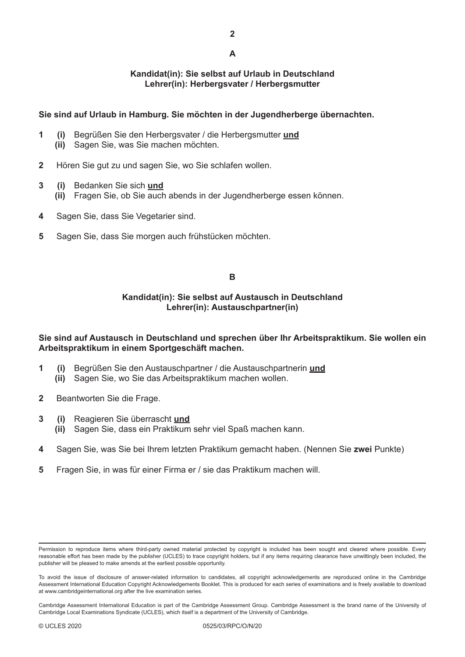#### **Kandidat(in): Sie selbst auf Urlaub in Deutschland Lehrer(in): Herbergsvater / Herbergsmutter**

### **Sie sind auf Urlaub in Hamburg. Sie möchten in der Jugendherberge übernachten.**

- **1 (i)** Begrüßen Sie den Herbergsvater / die Herbergsmutter **und (ii)** Sagen Sie, was Sie machen möchten.
- **2** Hören Sie gut zu und sagen Sie, wo Sie schlafen wollen.
- **3 (i)** Bedanken Sie sich **und**
	- **(ii)** Fragen Sie, ob Sie auch abends in der Jugendherberge essen können.
- **4** Sagen Sie, dass Sie Vegetarier sind.
- **5** Sagen Sie, dass Sie morgen auch frühstücken möchten.

#### **B**

#### **Kandidat(in): Sie selbst auf Austausch in Deutschland Lehrer(in): Austauschpartner(in)**

#### **Sie sind auf Austausch in Deutschland und sprechen über Ihr Arbeitspraktikum. Sie wollen ein Arbeitspraktikum in einem Sportgeschäft machen.**

- **1 (i)** Begrüßen Sie den Austauschpartner / die Austauschpartnerin **und (ii)** Sagen Sie, wo Sie das Arbeitspraktikum machen wollen.
- **2** Beantworten Sie die Frage.
- **3 (i)** Reagieren Sie überrascht **und**
	- **(ii)** Sagen Sie, dass ein Praktikum sehr viel Spaß machen kann.
- **4** Sagen Sie, was Sie bei Ihrem letzten Praktikum gemacht haben. (Nennen Sie **zwei** Punkte)
- **5** Fragen Sie, in was für einer Firma er / sie das Praktikum machen will.

Permission to reproduce items where third-party owned material protected by copyright is included has been sought and cleared where possible. Every reasonable effort has been made by the publisher (UCLES) to trace copyright holders, but if any items requiring clearance have unwittingly been included, the publisher will be pleased to make amends at the earliest possible opportunity.

To avoid the issue of disclosure of answer-related information to candidates, all copyright acknowledgements are reproduced online in the Cambridge Assessment International Education Copyright Acknowledgements Booklet. This is produced for each series of examinations and is freely available to download at www.cambridgeinternational.org after the live examination series.

Cambridge Assessment International Education is part of the Cambridge Assessment Group. Cambridge Assessment is the brand name of the University of Cambridge Local Examinations Syndicate (UCLES), which itself is a department of the University of Cambridge.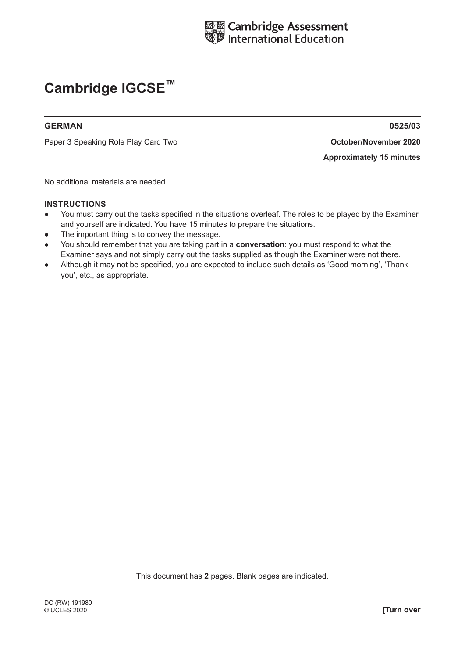

#### **GERMAN 0525/03**

Paper 3 Speaking Role Play Card **October/November 2020** Two

**Approximately 15 minutes**

No additional materials are needed.

- You must carry out the tasks specified in the situations overleaf. The roles to be played by the Examiner and yourself are indicated. You have 15 minutes to prepare the situations.
- The important thing is to convey the message.
- You should remember that you are taking part in a **conversation**: you must respond to what the Examiner says and not simply carry out the tasks supplied as though the Examiner were not there.
- Although it may not be specified, you are expected to include such details as 'Good morning', 'Thank you', etc., as appropriate.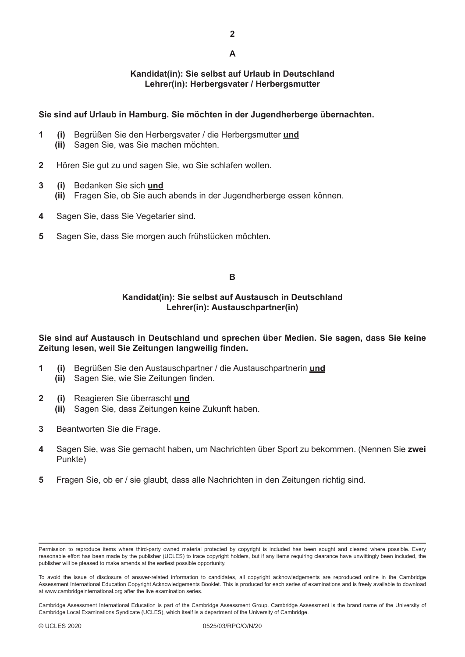#### **Kandidat(in): Sie selbst auf Urlaub in Deutschland Lehrer(in): Herbergsvater / Herbergsmutter**

### **Sie sind auf Urlaub in Hamburg. Sie möchten in der Jugendherberge übernachten.**

- **1 (i)** Begrüßen Sie den Herbergsvater / die Herbergsmutter **und (ii)** Sagen Sie, was Sie machen möchten.
- **2** Hören Sie gut zu und sagen Sie, wo Sie schlafen wollen.
- **3 (i)** Bedanken Sie sich **und**
	- **(ii)** Fragen Sie, ob Sie auch abends in der Jugendherberge essen können.
- **4** Sagen Sie, dass Sie Vegetarier sind.
- **5** Sagen Sie, dass Sie morgen auch frühstücken möchten.

#### **B**

#### **Kandidat(in): Sie selbst auf Austausch in Deutschland Lehrer(in): Austauschpartner(in)**

#### **Sie sind auf Austausch in Deutschland und sprechen über Medien. Sie sagen, dass Sie keine Zeitung lesen, weil Sie Zeitungen langweilig finden.**

- **1 (i)** Begrüßen Sie den Austauschpartner / die Austauschpartnerin **und (ii)** Sagen Sie, wie Sie Zeitungen finden.
- **2 (i)** Reagieren Sie überrascht **und (ii)** Sagen Sie, dass Zeitungen keine Zukunft haben.
- **3** Beantworten Sie die Frage.
- **4** Sagen Sie, was Sie gemacht haben, um Nachrichten über Sport zu bekommen. (Nennen Sie **zwei** Punkte)
- **5** Fragen Sie, ob er / sie glaubt, dass alle Nachrichten in den Zeitungen richtig sind.

Permission to reproduce items where third-party owned material protected by copyright is included has been sought and cleared where possible. Every reasonable effort has been made by the publisher (UCLES) to trace copyright holders, but if any items requiring clearance have unwittingly been included, the publisher will be pleased to make amends at the earliest possible opportunity.

To avoid the issue of disclosure of answer-related information to candidates, all copyright acknowledgements are reproduced online in the Cambridge Assessment International Education Copyright Acknowledgements Booklet. This is produced for each series of examinations and is freely available to download at www.cambridgeinternational.org after the live examination series.

Cambridge Assessment International Education is part of the Cambridge Assessment Group. Cambridge Assessment is the brand name of the University of Cambridge Local Examinations Syndicate (UCLES), which itself is a department of the University of Cambridge.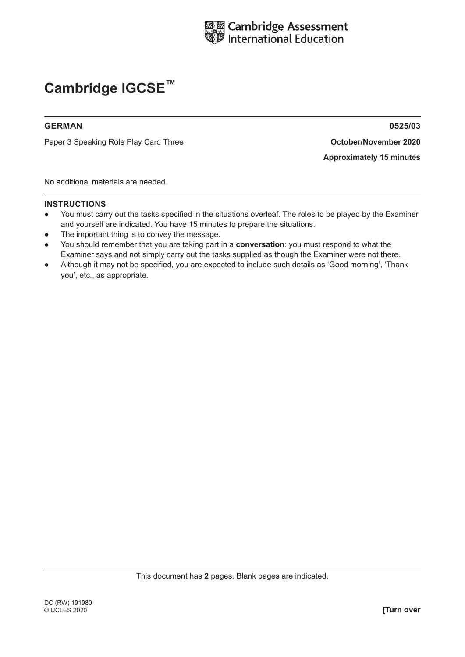

#### **GERMAN 0525/03**

Paper 3 Speaking Role Play Card **October/November 2020** Three

**Approximately 15 minutes**

No additional materials are needed.

- You must carry out the tasks specified in the situations overleaf. The roles to be played by the Examiner and yourself are indicated. You have 15 minutes to prepare the situations.
- The important thing is to convey the message.
- You should remember that you are taking part in a **conversation**: you must respond to what the Examiner says and not simply carry out the tasks supplied as though the Examiner were not there.
- Although it may not be specified, you are expected to include such details as 'Good morning', 'Thank you', etc., as appropriate.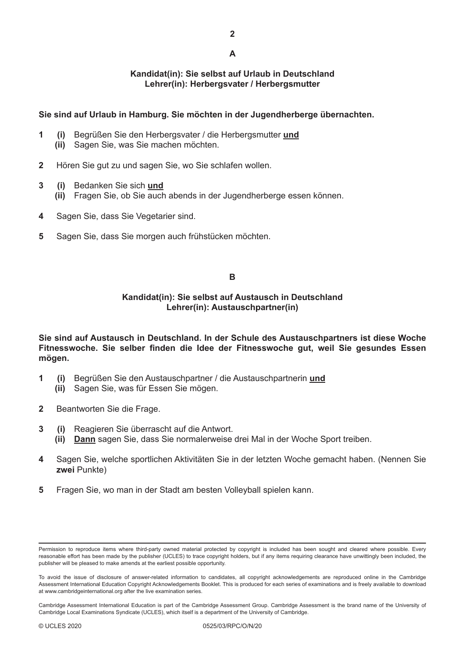#### **Kandidat(in): Sie selbst auf Urlaub in Deutschland Lehrer(in): Herbergsvater / Herbergsmutter**

### **Sie sind auf Urlaub in Hamburg. Sie möchten in der Jugendherberge übernachten.**

- **1 (i)** Begrüßen Sie den Herbergsvater / die Herbergsmutter **und (ii)** Sagen Sie, was Sie machen möchten.
- **2** Hören Sie gut zu und sagen Sie, wo Sie schlafen wollen.
- **3 (i)** Bedanken Sie sich **und**
	- **(ii)** Fragen Sie, ob Sie auch abends in der Jugendherberge essen können.
- **4** Sagen Sie, dass Sie Vegetarier sind.
- **5** Sagen Sie, dass Sie morgen auch frühstücken möchten.

#### **B**

#### **Kandidat(in): Sie selbst auf Austausch in Deutschland Lehrer(in): Austauschpartner(in)**

**Sie sind auf Austausch in Deutschland. In der Schule des Austauschpartners ist diese Woche Fitnesswoche. Sie selber finden die Idee der Fitnesswoche gut, weil Sie gesundes Essen mögen.**

- **1 (i)** Begrüßen Sie den Austauschpartner / die Austauschpartnerin **und**
	- **(ii)** Sagen Sie, was für Essen Sie mögen.
- **2** Beantworten Sie die Frage.
- **3 (i)** Reagieren Sie überrascht auf die Antwort.
	- **(ii) Dann** sagen Sie, dass Sie normalerweise drei Mal in der Woche Sport treiben.
- **4** Sagen Sie, welche sportlichen Aktivitäten Sie in der letzten Woche gemacht haben. (Nennen Sie **zwei** Punkte)
- **5** Fragen Sie, wo man in der Stadt am besten Volleyball spielen kann.

Permission to reproduce items where third-party owned material protected by copyright is included has been sought and cleared where possible. Every reasonable effort has been made by the publisher (UCLES) to trace copyright holders, but if any items requiring clearance have unwittingly been included, the publisher will be pleased to make amends at the earliest possible opportunity.

To avoid the issue of disclosure of answer-related information to candidates, all copyright acknowledgements are reproduced online in the Cambridge Assessment International Education Copyright Acknowledgements Booklet. This is produced for each series of examinations and is freely available to download at www.cambridgeinternational.org after the live examination series.

Cambridge Assessment International Education is part of the Cambridge Assessment Group. Cambridge Assessment is the brand name of the University of Cambridge Local Examinations Syndicate (UCLES), which itself is a department of the University of Cambridge.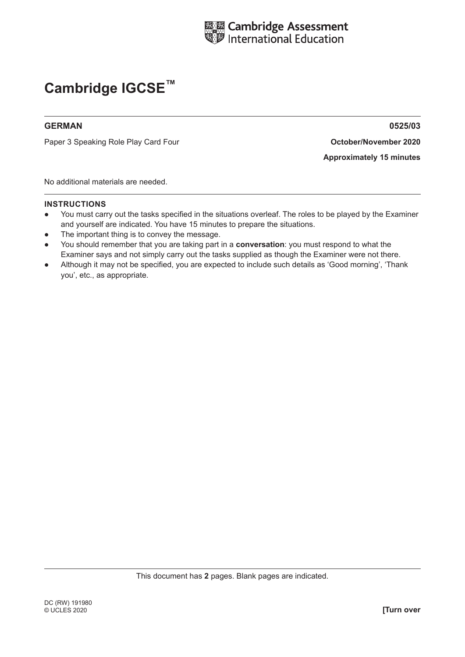

#### **GERMAN 0525/03**

Paper 3 Speaking Role Play Card **October/November 2020** Four

**Approximately 15 minutes**

No additional materials are needed.

- You must carry out the tasks specified in the situations overleaf. The roles to be played by the Examiner and yourself are indicated. You have 15 minutes to prepare the situations.
- The important thing is to convey the message.
- You should remember that you are taking part in a **conversation**: you must respond to what the Examiner says and not simply carry out the tasks supplied as though the Examiner were not there.
- Although it may not be specified, you are expected to include such details as 'Good morning', 'Thank you', etc., as appropriate.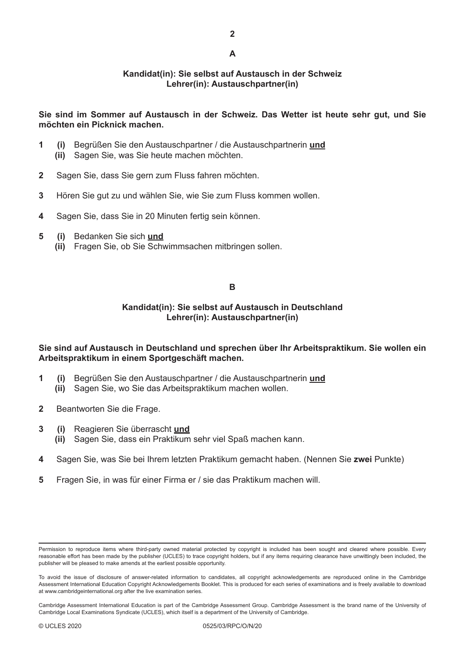#### **Kandidat(in): Sie selbst auf Austausch in der Schweiz Lehrer(in): Austauschpartner(in)**

#### **Sie sind im Sommer auf Austausch in der Schweiz. Das Wetter ist heute sehr gut, und Sie möchten ein Picknick machen.**

- **1 (i)** Begrüßen Sie den Austauschpartner / die Austauschpartnerin **und**
	- **(ii)** Sagen Sie, was Sie heute machen möchten.
- **2** Sagen Sie, dass Sie gern zum Fluss fahren möchten.
- **3** Hören Sie gut zu und wählen Sie, wie Sie zum Fluss kommen wollen.
- **4** Sagen Sie, dass Sie in 20 Minuten fertig sein können.
- **5 (i)** Bedanken Sie sich **und**
	- **(ii)** Fragen Sie, ob Sie Schwimmsachen mitbringen sollen.

#### **B**

### **Kandidat(in): Sie selbst auf Austausch in Deutschland Lehrer(in): Austauschpartner(in)**

#### **Sie sind auf Austausch in Deutschland und sprechen über Ihr Arbeitspraktikum. Sie wollen ein Arbeitspraktikum in einem Sportgeschäft machen.**

- **1 (i)** Begrüßen Sie den Austauschpartner / die Austauschpartnerin **und**
	- **(ii)** Sagen Sie, wo Sie das Arbeitspraktikum machen wollen.
- **2** Beantworten Sie die Frage.
- **3 (i)** Reagieren Sie überrascht **und**
	- **(ii)** Sagen Sie, dass ein Praktikum sehr viel Spaß machen kann.
- **4** Sagen Sie, was Sie bei Ihrem letzten Praktikum gemacht haben. (Nennen Sie **zwei** Punkte)
- **5** Fragen Sie, in was für einer Firma er / sie das Praktikum machen will.

Permission to reproduce items where third-party owned material protected by copyright is included has been sought and cleared where possible. Every reasonable effort has been made by the publisher (UCLES) to trace copyright holders, but if any items requiring clearance have unwittingly been included, the publisher will be pleased to make amends at the earliest possible opportunity.

To avoid the issue of disclosure of answer-related information to candidates, all copyright acknowledgements are reproduced online in the Cambridge Assessment International Education Copyright Acknowledgements Booklet. This is produced for each series of examinations and is freely available to download at www.cambridgeinternational.org after the live examination series.

Cambridge Assessment International Education is part of the Cambridge Assessment Group. Cambridge Assessment is the brand name of the University of Cambridge Local Examinations Syndicate (UCLES), which itself is a department of the University of Cambridge.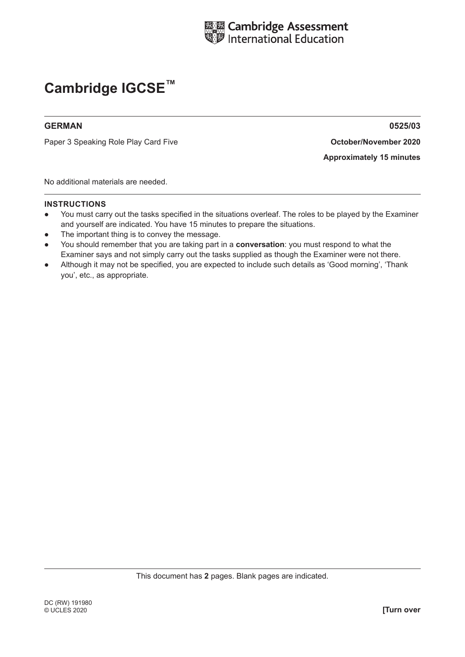

#### **GERMAN 0525/03**

Paper 3 Speaking Role Play Card Five **And Activity Contract Contract Contract Contract Contract Point Contract Co** 

**Approximately 15 minutes**

No additional materials are needed.

- You must carry out the tasks specified in the situations overleaf. The roles to be played by the Examiner and yourself are indicated. You have 15 minutes to prepare the situations.
- The important thing is to convey the message.
- You should remember that you are taking part in a **conversation**: you must respond to what the Examiner says and not simply carry out the tasks supplied as though the Examiner were not there.
- Although it may not be specified, you are expected to include such details as 'Good morning', 'Thank you', etc., as appropriate.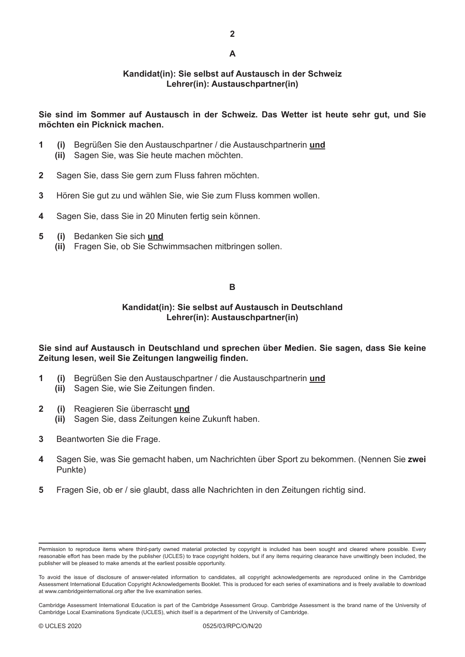#### **Kandidat(in): Sie selbst auf Austausch in der Schweiz Lehrer(in): Austauschpartner(in)**

#### **Sie sind im Sommer auf Austausch in der Schweiz. Das Wetter ist heute sehr gut, und Sie möchten ein Picknick machen.**

- **1 (i)** Begrüßen Sie den Austauschpartner / die Austauschpartnerin **und**
	- **(ii)** Sagen Sie, was Sie heute machen möchten.
- **2** Sagen Sie, dass Sie gern zum Fluss fahren möchten.
- **3** Hören Sie gut zu und wählen Sie, wie Sie zum Fluss kommen wollen.
- **4** Sagen Sie, dass Sie in 20 Minuten fertig sein können.
- **5 (i)** Bedanken Sie sich **und**
	- **(ii)** Fragen Sie, ob Sie Schwimmsachen mitbringen sollen.

#### **B**

### **Kandidat(in): Sie selbst auf Austausch in Deutschland Lehrer(in): Austauschpartner(in)**

**Sie sind auf Austausch in Deutschland und sprechen über Medien. Sie sagen, dass Sie keine Zeitung lesen, weil Sie Zeitungen langweilig finden.**

- **1 (i)** Begrüßen Sie den Austauschpartner / die Austauschpartnerin **und**
	- **(ii)** Sagen Sie, wie Sie Zeitungen finden.
- **2 (i)** Reagieren Sie überrascht **und**
	- **(ii)** Sagen Sie, dass Zeitungen keine Zukunft haben.
- **3** Beantworten Sie die Frage.
- **4** Sagen Sie, was Sie gemacht haben, um Nachrichten über Sport zu bekommen. (Nennen Sie **zwei** Punkte)
- **5** Fragen Sie, ob er / sie glaubt, dass alle Nachrichten in den Zeitungen richtig sind.

Permission to reproduce items where third-party owned material protected by copyright is included has been sought and cleared where possible. Every reasonable effort has been made by the publisher (UCLES) to trace copyright holders, but if any items requiring clearance have unwittingly been included, the publisher will be pleased to make amends at the earliest possible opportunity.

To avoid the issue of disclosure of answer-related information to candidates, all copyright acknowledgements are reproduced online in the Cambridge Assessment International Education Copyright Acknowledgements Booklet. This is produced for each series of examinations and is freely available to download at www.cambridgeinternational.org after the live examination series.

Cambridge Assessment International Education is part of the Cambridge Assessment Group. Cambridge Assessment is the brand name of the University of Cambridge Local Examinations Syndicate (UCLES), which itself is a department of the University of Cambridge.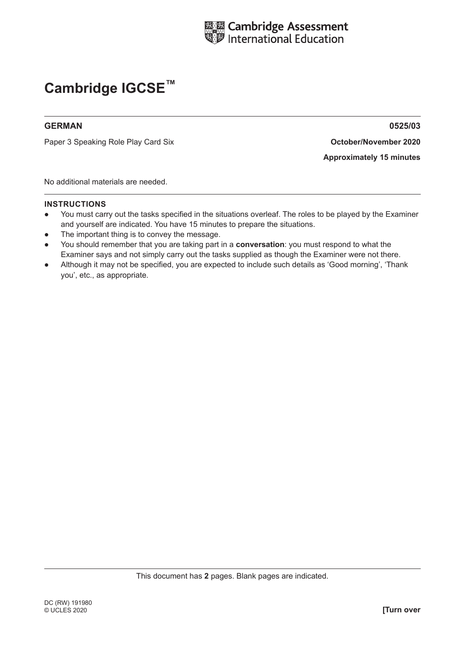

#### **GERMAN 0525/03**

Paper 3 Speaking Role Play Card **October/November 2020** Six

**Approximately 15 minutes**

No additional materials are needed.

- You must carry out the tasks specified in the situations overleaf. The roles to be played by the Examiner and yourself are indicated. You have 15 minutes to prepare the situations.
- The important thing is to convey the message.
- You should remember that you are taking part in a **conversation**: you must respond to what the Examiner says and not simply carry out the tasks supplied as though the Examiner were not there.
- Although it may not be specified, you are expected to include such details as 'Good morning', 'Thank you', etc., as appropriate.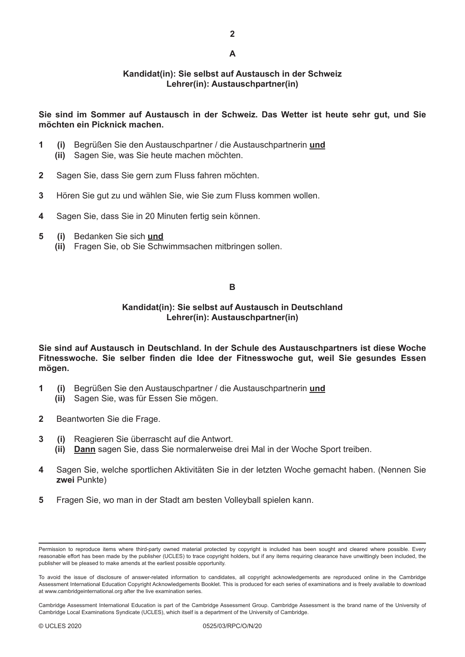### **Kandidat(in): Sie selbst auf Austausch in der Schweiz Lehrer(in): Austauschpartner(in)**

#### **Sie sind im Sommer auf Austausch in der Schweiz. Das Wetter ist heute sehr gut, und Sie möchten ein Picknick machen.**

- **1 (i)** Begrüßen Sie den Austauschpartner / die Austauschpartnerin **und**
	- **(ii)** Sagen Sie, was Sie heute machen möchten.
- **2** Sagen Sie, dass Sie gern zum Fluss fahren möchten.
- **3** Hören Sie gut zu und wählen Sie, wie Sie zum Fluss kommen wollen.
- **4** Sagen Sie, dass Sie in 20 Minuten fertig sein können.
- **5 (i)** Bedanken Sie sich **und**
	- **(ii)** Fragen Sie, ob Sie Schwimmsachen mitbringen sollen.

#### **B**

#### **Kandidat(in): Sie selbst auf Austausch in Deutschland Lehrer(in): Austauschpartner(in)**

**Sie sind auf Austausch in Deutschland. In der Schule des Austauschpartners ist diese Woche Fitnesswoche. Sie selber finden die Idee der Fitnesswoche gut, weil Sie gesundes Essen mögen.**

- **1 (i)** Begrüßen Sie den Austauschpartner / die Austauschpartnerin **und**
	- **(ii)** Sagen Sie, was für Essen Sie mögen.
- **2** Beantworten Sie die Frage.
- **3 (i)** Reagieren Sie überrascht auf die Antwort.
	- **(ii) Dann** sagen Sie, dass Sie normalerweise drei Mal in der Woche Sport treiben.
- **4** Sagen Sie, welche sportlichen Aktivitäten Sie in der letzten Woche gemacht haben. (Nennen Sie **zwei** Punkte)
- **5** Fragen Sie, wo man in der Stadt am besten Volleyball spielen kann.

Permission to reproduce items where third-party owned material protected by copyright is included has been sought and cleared where possible. Every reasonable effort has been made by the publisher (UCLES) to trace copyright holders, but if any items requiring clearance have unwittingly been included, the publisher will be pleased to make amends at the earliest possible opportunity.

To avoid the issue of disclosure of answer-related information to candidates, all copyright acknowledgements are reproduced online in the Cambridge Assessment International Education Copyright Acknowledgements Booklet. This is produced for each series of examinations and is freely available to download at www.cambridgeinternational.org after the live examination series.

Cambridge Assessment International Education is part of the Cambridge Assessment Group. Cambridge Assessment is the brand name of the University of Cambridge Local Examinations Syndicate (UCLES), which itself is a department of the University of Cambridge.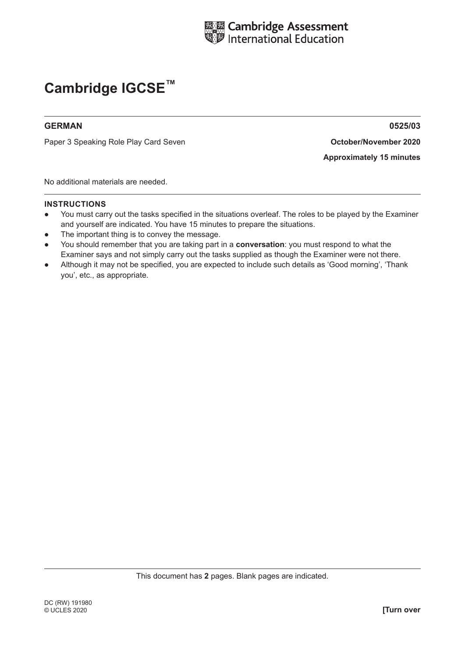

#### **GERMAN 0525/03**

Paper 3 Speaking Role Play Card **October/November 2020** Seven

**Approximately 15 minutes**

No additional materials are needed.

- You must carry out the tasks specified in the situations overleaf. The roles to be played by the Examiner and yourself are indicated. You have 15 minutes to prepare the situations.
- The important thing is to convey the message.
- You should remember that you are taking part in a **conversation**: you must respond to what the Examiner says and not simply carry out the tasks supplied as though the Examiner were not there.
- Although it may not be specified, you are expected to include such details as 'Good morning', 'Thank you', etc., as appropriate.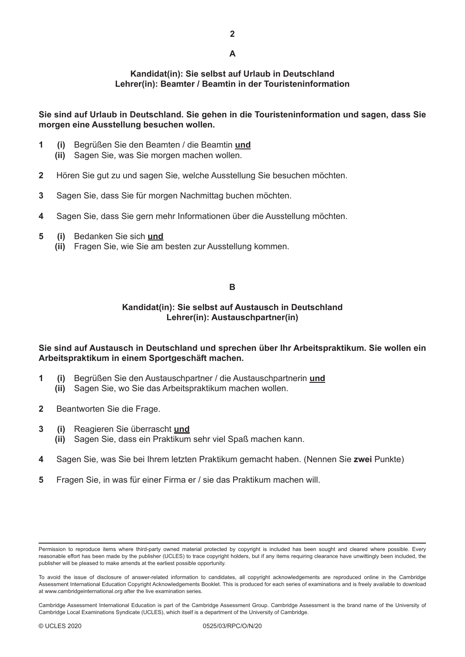**2**

## **A**

#### **Kandidat(in): Sie selbst auf Urlaub in Deutschland Lehrer(in): Beamter / Beamtin in der Touristeninformation**

**Sie sind auf Urlaub in Deutschland. Sie gehen in die Touristeninformation und sagen, dass Sie morgen eine Ausstellung besuchen wollen.**

- **1 (i)** Begrüßen Sie den Beamten / die Beamtin **und**
	- **(ii)** Sagen Sie, was Sie morgen machen wollen.
- **2** Hören Sie gut zu und sagen Sie, welche Ausstellung Sie besuchen möchten.
- **3** Sagen Sie, dass Sie für morgen Nachmittag buchen möchten.
- **4** Sagen Sie, dass Sie gern mehr Informationen über die Ausstellung möchten.
- **5 (i)** Bedanken Sie sich **und**
	- **(ii)** Fragen Sie, wie Sie am besten zur Ausstellung kommen.

#### **B**

### **Kandidat(in): Sie selbst auf Austausch in Deutschland Lehrer(in): Austauschpartner(in)**

**Sie sind auf Austausch in Deutschland und sprechen über Ihr Arbeitspraktikum. Sie wollen ein Arbeitspraktikum in einem Sportgeschäft machen.**

- **1 (i)** Begrüßen Sie den Austauschpartner / die Austauschpartnerin **und**
	- **(ii)** Sagen Sie, wo Sie das Arbeitspraktikum machen wollen.
- **2** Beantworten Sie die Frage.
- **3 (i)** Reagieren Sie überrascht **und**
	- **(ii)** Sagen Sie, dass ein Praktikum sehr viel Spaß machen kann.
- **4** Sagen Sie, was Sie bei Ihrem letzten Praktikum gemacht haben. (Nennen Sie **zwei** Punkte)
- **5** Fragen Sie, in was für einer Firma er / sie das Praktikum machen will.

Permission to reproduce items where third-party owned material protected by copyright is included has been sought and cleared where possible. Every reasonable effort has been made by the publisher (UCLES) to trace copyright holders, but if any items requiring clearance have unwittingly been included, the publisher will be pleased to make amends at the earliest possible opportunity.

To avoid the issue of disclosure of answer-related information to candidates, all copyright acknowledgements are reproduced online in the Cambridge Assessment International Education Copyright Acknowledgements Booklet. This is produced for each series of examinations and is freely available to download at www.cambridgeinternational.org after the live examination series.

Cambridge Assessment International Education is part of the Cambridge Assessment Group. Cambridge Assessment is the brand name of the University of Cambridge Local Examinations Syndicate (UCLES), which itself is a department of the University of Cambridge.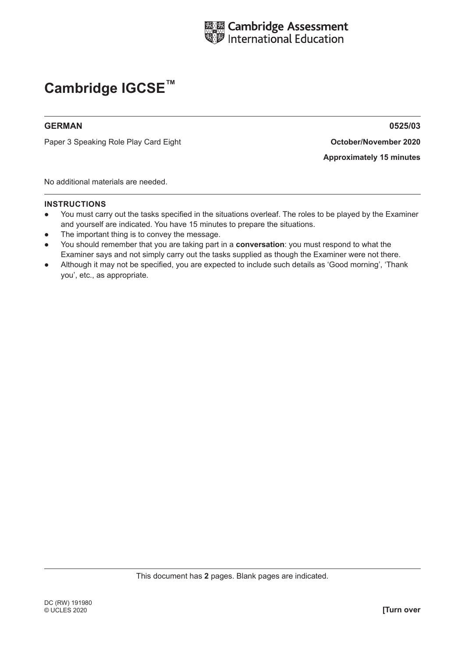

#### **GERMAN 0525/03**

Paper 3 Speaking Role Play Card Eight **And American Construction Construction Construction** 

**Approximately 15 minutes**

No additional materials are needed.

- You must carry out the tasks specified in the situations overleaf. The roles to be played by the Examiner and yourself are indicated. You have 15 minutes to prepare the situations.
- The important thing is to convey the message.
- You should remember that you are taking part in a **conversation**: you must respond to what the Examiner says and not simply carry out the tasks supplied as though the Examiner were not there.
- Although it may not be specified, you are expected to include such details as 'Good morning', 'Thank you', etc., as appropriate.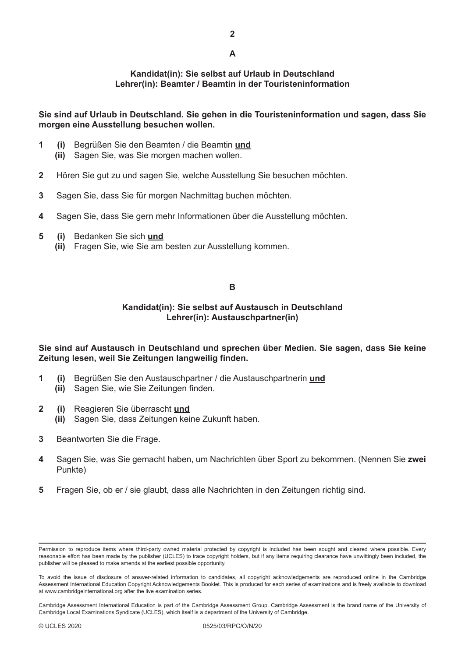**2**

## **A**

#### **Kandidat(in): Sie selbst auf Urlaub in Deutschland Lehrer(in): Beamter / Beamtin in der Touristeninformation**

**Sie sind auf Urlaub in Deutschland. Sie gehen in die Touristeninformation und sagen, dass Sie morgen eine Ausstellung besuchen wollen.**

- **1 (i)** Begrüßen Sie den Beamten / die Beamtin **und**
	- **(ii)** Sagen Sie, was Sie morgen machen wollen.
- **2** Hören Sie gut zu und sagen Sie, welche Ausstellung Sie besuchen möchten.
- **3** Sagen Sie, dass Sie für morgen Nachmittag buchen möchten.
- **4** Sagen Sie, dass Sie gern mehr Informationen über die Ausstellung möchten.
- **5 (i)** Bedanken Sie sich **und**
	- **(ii)** Fragen Sie, wie Sie am besten zur Ausstellung kommen.

#### **B**

#### **Kandidat(in): Sie selbst auf Austausch in Deutschland Lehrer(in): Austauschpartner(in)**

**Sie sind auf Austausch in Deutschland und sprechen über Medien. Sie sagen, dass Sie keine Zeitung lesen, weil Sie Zeitungen langweilig finden.**

- **1 (i)** Begrüßen Sie den Austauschpartner / die Austauschpartnerin **und**
	- **(ii)** Sagen Sie, wie Sie Zeitungen finden.
- **2 (i)** Reagieren Sie überrascht **und**
	- **(ii)** Sagen Sie, dass Zeitungen keine Zukunft haben.
- **3** Beantworten Sie die Frage.
- **4** Sagen Sie, was Sie gemacht haben, um Nachrichten über Sport zu bekommen. (Nennen Sie **zwei** Punkte)
- **5** Fragen Sie, ob er / sie glaubt, dass alle Nachrichten in den Zeitungen richtig sind.

Permission to reproduce items where third-party owned material protected by copyright is included has been sought and cleared where possible. Every reasonable effort has been made by the publisher (UCLES) to trace copyright holders, but if any items requiring clearance have unwittingly been included, the publisher will be pleased to make amends at the earliest possible opportunity.

To avoid the issue of disclosure of answer-related information to candidates, all copyright acknowledgements are reproduced online in the Cambridge Assessment International Education Copyright Acknowledgements Booklet. This is produced for each series of examinations and is freely available to download at www.cambridgeinternational.org after the live examination series.

Cambridge Assessment International Education is part of the Cambridge Assessment Group. Cambridge Assessment is the brand name of the University of Cambridge Local Examinations Syndicate (UCLES), which itself is a department of the University of Cambridge.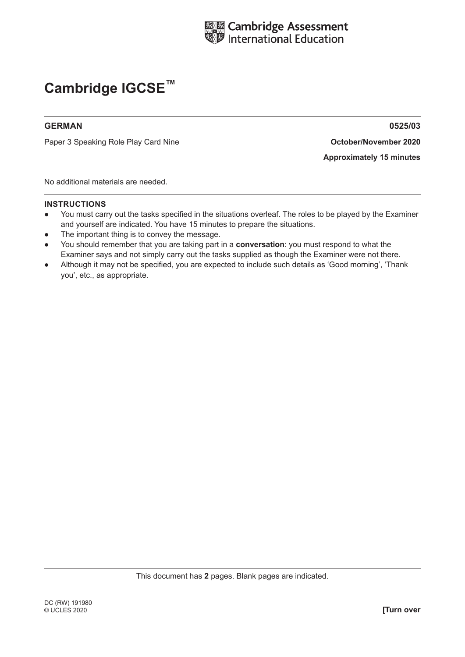

#### **GERMAN 0525/03**

Paper 3 Speaking Role Play Card **October/November 2020** Nine

**Approximately 15 minutes**

No additional materials are needed.

- You must carry out the tasks specified in the situations overleaf. The roles to be played by the Examiner and yourself are indicated. You have 15 minutes to prepare the situations.
- The important thing is to convey the message.
- You should remember that you are taking part in a **conversation**: you must respond to what the Examiner says and not simply carry out the tasks supplied as though the Examiner were not there.
- Although it may not be specified, you are expected to include such details as 'Good morning', 'Thank you', etc., as appropriate.